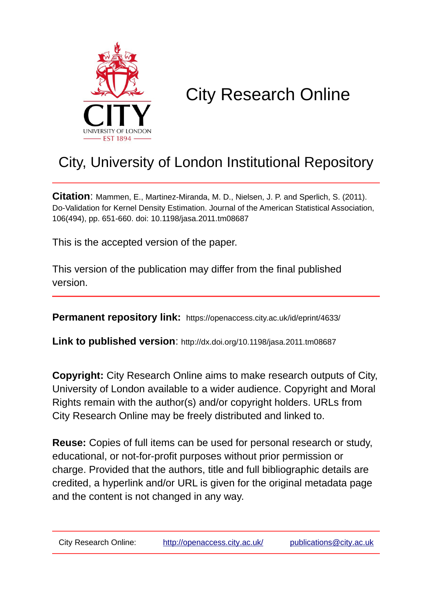

# City Research Online

# City, University of London Institutional Repository

**Citation**: Mammen, E., Martinez-Miranda, M. D., Nielsen, J. P. and Sperlich, S. (2011). Do-Validation for Kernel Density Estimation. Journal of the American Statistical Association, 106(494), pp. 651-660. doi: 10.1198/jasa.2011.tm08687

This is the accepted version of the paper.

This version of the publication may differ from the final published version.

**Permanent repository link:** https://openaccess.city.ac.uk/id/eprint/4633/

**Link to published version**: http://dx.doi.org/10.1198/jasa.2011.tm08687

**Copyright:** City Research Online aims to make research outputs of City, University of London available to a wider audience. Copyright and Moral Rights remain with the author(s) and/or copyright holders. URLs from City Research Online may be freely distributed and linked to.

**Reuse:** Copies of full items can be used for personal research or study, educational, or not-for-profit purposes without prior permission or charge. Provided that the authors, title and full bibliographic details are credited, a hyperlink and/or URL is given for the original metadata page and the content is not changed in any way.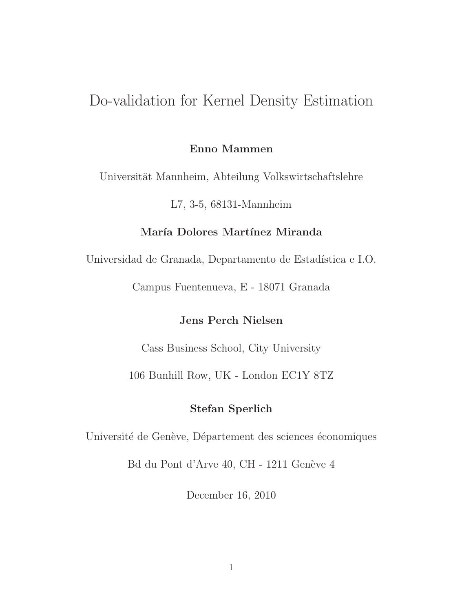# Do-validation for Kernel Density Estimation

#### **Enno Mammen**

Universität Mannheim, Abteilung Volkswirtschaftslehre

L7, 3-5, 68131-Mannheim

#### **Mar´ıa Dolores Mart´ınez Miranda**

Universidad de Granada, Departamento de Estadística e I.O.

Campus Fuentenueva, E - 18071 Granada

#### **Jens Perch Nielsen**

Cass Business School, City University

106 Bunhill Row, UK - London EC1Y 8TZ

#### **Stefan Sperlich**

Université de Genève, Département des sciences économiques

Bd du Pont d'Arve 40, CH - 1211 Genève 4

December 16, 2010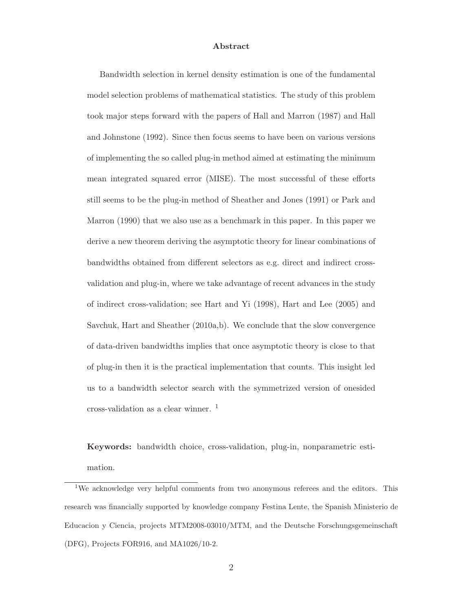#### **Abstract**

Bandwidth selection in kernel density estimation is one of the fundamental model selection problems of mathematical statistics. The study of this problem took major steps forward with the papers of Hall and Marron (1987) and Hall and Johnstone (1992). Since then focus seems to have been on various versions of implementing the so called plug-in method aimed at estimating the minimum mean integrated squared error (MISE). The most successful of these efforts still seems to be the plug-in method of Sheather and Jones (1991) or Park and Marron (1990) that we also use as a benchmark in this paper. In this paper we derive a new theorem deriving the asymptotic theory for linear combinations of bandwidths obtained from different selectors as e.g. direct and indirect crossvalidation and plug-in, where we take advantage of recent advances in the study of indirect cross-validation; see Hart and Yi (1998), Hart and Lee (2005) and Savchuk, Hart and Sheather (2010a,b). We conclude that the slow convergence of data-driven bandwidths implies that once asymptotic theory is close to that of plug-in then it is the practical implementation that counts. This insight led us to a bandwidth selector search with the symmetrized version of onesided cross-validation as a clear winner.  $<sup>1</sup>$ </sup>

**Keywords:** bandwidth choice, cross-validation, plug-in, nonparametric estimation.

<sup>&</sup>lt;sup>1</sup>We acknowledge very helpful comments from two anonymous referees and the editors. This research was financially supported by knowledge company Festina Lente, the Spanish Ministerio de Educacion y Ciencia, projects MTM2008-03010/MTM, and the Deutsche Forschungsgemeinschaft (DFG), Projects FOR916, and MA1026/10-2.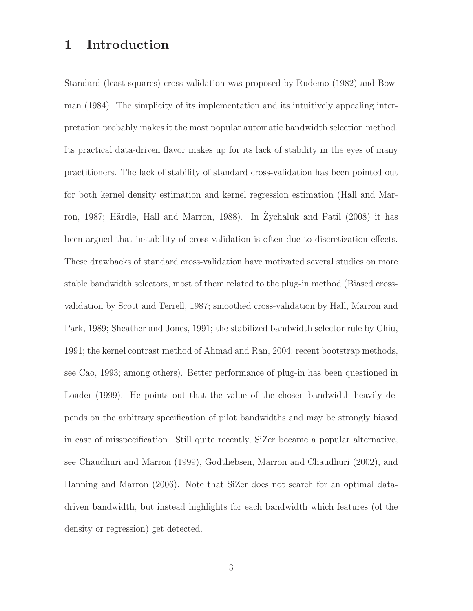## **1 Introduction**

Standard (least-squares) cross-validation was proposed by Rudemo (1982) and Bowman (1984). The simplicity of its implementation and its intuitively appealing interpretation probably makes it the most popular automatic bandwidth selection method. Its practical data-driven flavor makes up for its lack of stability in the eyes of many practitioners. The lack of stability of standard cross-validation has been pointed out for both kernel density estimation and kernel regression estimation (Hall and Marron, 1987; Härdle, Hall and Marron, 1988). In Zychaluk and Patil (2008) it has been argued that instability of cross validation is often due to discretization effects. These drawbacks of standard cross-validation have motivated several studies on more stable bandwidth selectors, most of them related to the plug-in method (Biased crossvalidation by Scott and Terrell, 1987; smoothed cross-validation by Hall, Marron and Park, 1989; Sheather and Jones, 1991; the stabilized bandwidth selector rule by Chiu, 1991; the kernel contrast method of Ahmad and Ran, 2004; recent bootstrap methods, see Cao, 1993; among others). Better performance of plug-in has been questioned in Loader (1999). He points out that the value of the chosen bandwidth heavily depends on the arbitrary specification of pilot bandwidths and may be strongly biased in case of misspecification. Still quite recently, SiZer became a popular alternative, see Chaudhuri and Marron (1999), Godtliebsen, Marron and Chaudhuri (2002), and Hanning and Marron (2006). Note that SiZer does not search for an optimal datadriven bandwidth, but instead highlights for each bandwidth which features (of the density or regression) get detected.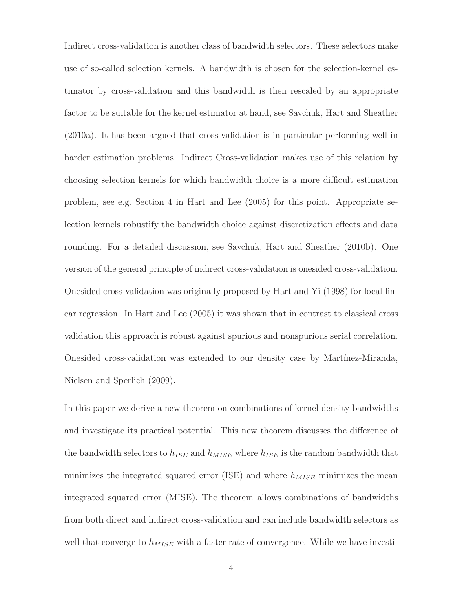Indirect cross-validation is another class of bandwidth selectors. These selectors make use of so-called selection kernels. A bandwidth is chosen for the selection-kernel estimator by cross-validation and this bandwidth is then rescaled by an appropriate factor to be suitable for the kernel estimator at hand, see Savchuk, Hart and Sheather (2010a). It has been argued that cross-validation is in particular performing well in harder estimation problems. Indirect Cross-validation makes use of this relation by choosing selection kernels for which bandwidth choice is a more difficult estimation problem, see e.g. Section 4 in Hart and Lee (2005) for this point. Appropriate selection kernels robustify the bandwidth choice against discretization effects and data rounding. For a detailed discussion, see Savchuk, Hart and Sheather (2010b). One version of the general principle of indirect cross-validation is onesided cross-validation. Onesided cross-validation was originally proposed by Hart and Yi (1998) for local linear regression. In Hart and Lee (2005) it was shown that in contrast to classical cross validation this approach is robust against spurious and nonspurious serial correlation. Onesided cross-validation was extended to our density case by Martínez-Miranda, Nielsen and Sperlich (2009).

In this paper we derive a new theorem on combinations of kernel density bandwidths and investigate its practical potential. This new theorem discusses the difference of the bandwidth selectors to  $h_{ISE}$  and  $h_{MISE}$  where  $h_{ISE}$  is the random bandwidth that minimizes the integrated squared error (ISE) and where  $h_{MISE}$  minimizes the mean integrated squared error (MISE). The theorem allows combinations of bandwidths from both direct and indirect cross-validation and can include bandwidth selectors as well that converge to  $h_{MISE}$  with a faster rate of convergence. While we have investi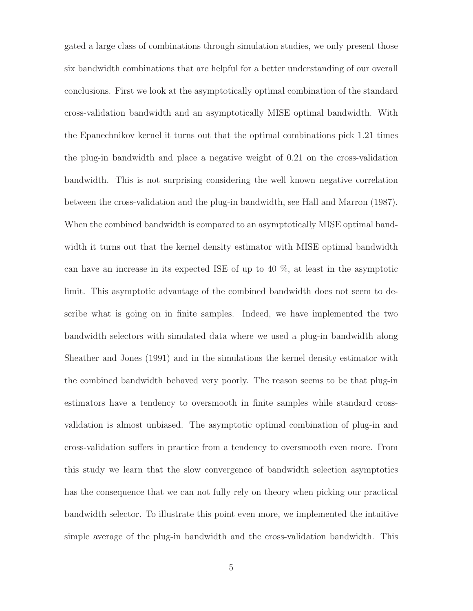gated a large class of combinations through simulation studies, we only present those six bandwidth combinations that are helpful for a better understanding of our overall conclusions. First we look at the asymptotically optimal combination of the standard cross-validation bandwidth and an asymptotically MISE optimal bandwidth. With the Epanechnikov kernel it turns out that the optimal combinations pick 1.21 times the plug-in bandwidth and place a negative weight of 0.21 on the cross-validation bandwidth. This is not surprising considering the well known negative correlation between the cross-validation and the plug-in bandwidth, see Hall and Marron (1987). When the combined bandwidth is compared to an asymptotically MISE optimal bandwidth it turns out that the kernel density estimator with MISE optimal bandwidth can have an increase in its expected ISE of up to 40 %, at least in the asymptotic limit. This asymptotic advantage of the combined bandwidth does not seem to describe what is going on in finite samples. Indeed, we have implemented the two bandwidth selectors with simulated data where we used a plug-in bandwidth along Sheather and Jones (1991) and in the simulations the kernel density estimator with the combined bandwidth behaved very poorly. The reason seems to be that plug-in estimators have a tendency to oversmooth in finite samples while standard crossvalidation is almost unbiased. The asymptotic optimal combination of plug-in and cross-validation suffers in practice from a tendency to oversmooth even more. From this study we learn that the slow convergence of bandwidth selection asymptotics has the consequence that we can not fully rely on theory when picking our practical bandwidth selector. To illustrate this point even more, we implemented the intuitive simple average of the plug-in bandwidth and the cross-validation bandwidth. This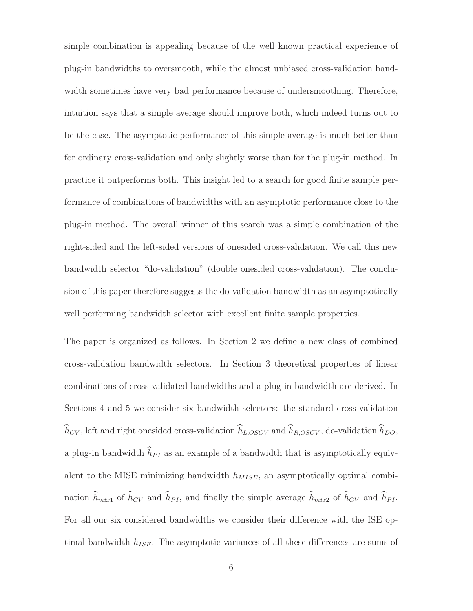simple combination is appealing because of the well known practical experience of plug-in bandwidths to oversmooth, while the almost unbiased cross-validation bandwidth sometimes have very bad performance because of undersmoothing. Therefore, intuition says that a simple average should improve both, which indeed turns out to be the case. The asymptotic performance of this simple average is much better than for ordinary cross-validation and only slightly worse than for the plug-in method. In practice it outperforms both. This insight led to a search for good finite sample performance of combinations of bandwidths with an asymptotic performance close to the plug-in method. The overall winner of this search was a simple combination of the right-sided and the left-sided versions of onesided cross-validation. We call this new bandwidth selector "do-validation" (double onesided cross-validation). The conclusion of this paper therefore suggests the do-validation bandwidth as an asymptotically well performing bandwidth selector with excellent finite sample properties.

The paper is organized as follows. In Section 2 we define a new class of combined cross-validation bandwidth selectors. In Section 3 theoretical properties of linear combinations of cross-validated bandwidths and a plug-in bandwidth are derived. In Sections 4 and 5 we consider six bandwidth selectors: the standard cross-validation  $h_{CV}$ , left and right onesided cross-validation  $h_{L,OSCV}$  and  $h_{R,OSCV}$ , do-validation  $h_{DO}$ , a plug-in bandwidth  $h_{PI}$  as an example of a bandwidth that is asymptotically equivalent to the MISE minimizing bandwidth  $h_{MISE}$ , an asymptotically optimal combination  $h_{mix1}$  of  $h_{CV}$  and  $h_{PI}$ , and finally the simple average  $h_{mix2}$  of  $h_{CV}$  and  $h_{PI}$ . For all our six considered bandwidths we consider their difference with the ISE optimal bandwidth  $h_{ISE}$ . The asymptotic variances of all these differences are sums of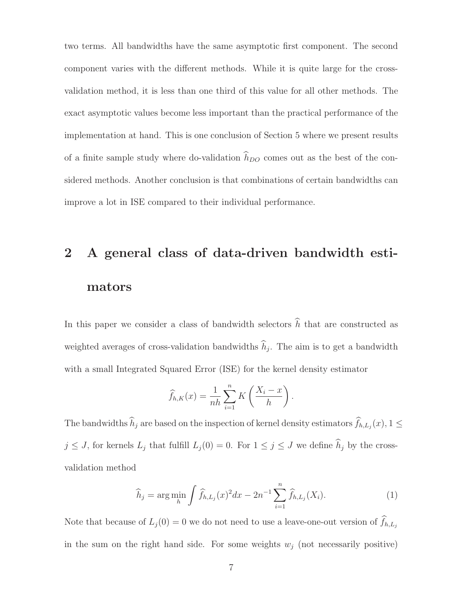two terms. All bandwidths have the same asymptotic first component. The second component varies with the different methods. While it is quite large for the crossvalidation method, it is less than one third of this value for all other methods. The exact asymptotic values become less important than the practical performance of the implementation at hand. This is one conclusion of Section 5 where we present results of a finite sample study where do-validation  $h_{DO}$  comes out as the best of the considered methods. Another conclusion is that combinations of certain bandwidths can improve a lot in ISE compared to their individual performance.

# **2 A general class of data-driven bandwidth estimators**

In this paper we consider a class of bandwidth selectors  $h$  that are constructed as weighted averages of cross-validation bandwidths  $h_j$ . The aim is to get a bandwidth with a small Integrated Squared Error (ISE) for the kernel density estimator

$$
\widehat{f}_{h,K}(x) = \frac{1}{nh} \sum_{i=1}^{n} K\left(\frac{X_i - x}{h}\right).
$$

The bandwidths  $h_j$  are based on the inspection of kernel density estimators  $f_{h,L_j}(x)$ ,  $1 \leq$  $j \leq J$ , for kernels  $L_j$  that fulfill  $L_j(0) = 0$ . For  $1 \leq j \leq J$  we define  $h_j$  by the crossvalidation method

$$
\widehat{h}_j = \arg\min_{h} \int \widehat{f}_{h,L_j}(x)^2 dx - 2n^{-1} \sum_{i=1}^n \widehat{f}_{h,L_j}(X_i). \tag{1}
$$

Note that because of  $L_j(0) = 0$  we do not need to use a leave-one-out version of  $f_{h,L_j}$ in the sum on the right hand side. For some weights  $w_i$  (not necessarily positive)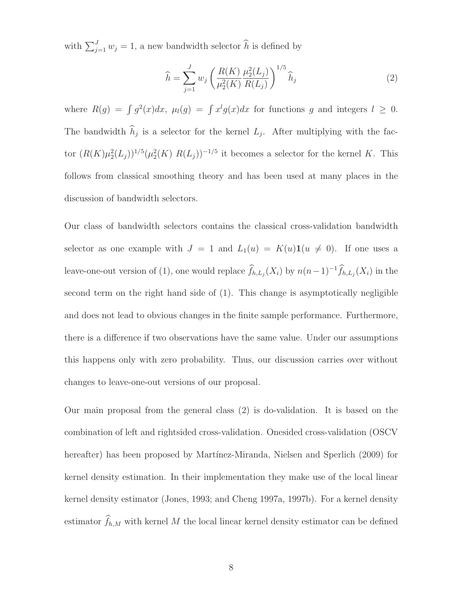with  $\sum_{j=1}^{J} w_j = 1$ , a new bandwidth selector  $\widehat{h}$  is defined by

$$
\widehat{h} = \sum_{j=1}^{J} w_j \left( \frac{R(K)}{\mu_2^2(K)} \frac{\mu_2^2(L_j)}{R(L_j)} \right)^{1/5} \widehat{h}_j
$$
\n(2)

where  $R(g) = \int g^2(x)dx$ ,  $\mu_l(g) = \int x^l g(x)dx$  for functions g and integers  $l \geq 0$ . The bandwidth  $h_j$  is a selector for the kernel  $L_j$ . After multiplying with the factor  $(R(K)\mu_2^2(L_j))^{1/5}(\mu_2^2(K) R(L_j))^{-1/5}$  it becomes a selector for the kernel K. This follows from classical smoothing theory and has been used at many places in the discussion of bandwidth selectors.

Our class of bandwidth selectors contains the classical cross-validation bandwidth selector as one example with  $J = 1$  and  $L_1(u) = K(u)\mathbf{1}(u \neq 0)$ . If one uses a leave-one-out version of (1), one would replace  $\hat{f}_{h,L_j}(X_i)$  by  $n(n-1)^{-1}\hat{f}_{h,L_j}(X_i)$  in the second term on the right hand side of (1). This change is asymptotically negligible and does not lead to obvious changes in the finite sample performance. Furthermore, there is a difference if two observations have the same value. Under our assumptions this happens only with zero probability. Thus, our discussion carries over without changes to leave-one-out versions of our proposal.

Our main proposal from the general class (2) is do-validation. It is based on the combination of left and rightsided cross-validation. Onesided cross-validation (OSCV hereafter) has been proposed by Martínez-Miranda, Nielsen and Sperlich (2009) for kernel density estimation. In their implementation they make use of the local linear kernel density estimator (Jones, 1993; and Cheng 1997a, 1997b). For a kernel density estimator  $f_{h,M}$  with kernel M the local linear kernel density estimator can be defined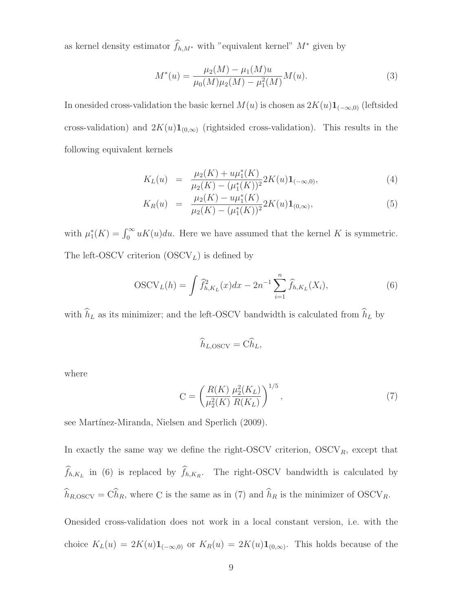as kernel density estimator  $f_{h,M^*}$  with "equivalent kernel"  $M^*$  given by

$$
M^*(u) = \frac{\mu_2(M) - \mu_1(M)u}{\mu_0(M)\mu_2(M) - \mu_1^2(M)}M(u).
$$
\n(3)

In onesided cross-validation the basic kernel  $M(u)$  is chosen as  $2K(u)1_{(-\infty,0)}$  (leftsided cross-validation) and  $2K(u)1_{(0,\infty)}$  (rightsided cross-validation). This results in the following equivalent kernels

$$
K_L(u) = \frac{\mu_2(K) + u\mu_1^*(K)}{\mu_2(K) - (\mu_1^*(K))^2} 2K(u) \mathbf{1}_{(-\infty,0)},
$$
\n(4)

$$
K_R(u) = \frac{\mu_2(K) - u\mu_1^*(K)}{\mu_2(K) - (\mu_1^*(K))^2} 2K(u)\mathbf{1}_{(0,\infty)},
$$
\n(5)

with  $\mu_1^*(K) = \int_0^\infty uK(u)du$ . Here we have assumed that the kernel K is symmetric. The left-OSCV criterion  $(OSCV<sub>L</sub>)$  is defined by

$$
OSCV_L(h) = \int \hat{f}_{h,K_L}^2(x)dx - 2n^{-1} \sum_{i=1}^n \hat{f}_{h,K_L}(X_i),
$$
\n(6)

with  $h_L$  as its minimizer; and the left-OSCV bandwidth is calculated from  $h_L$  by

$$
\widehat{h}_{L,\mathrm{OSCV}} = \widehat{\mathrm{Ch}}_L,
$$

where

$$
C = \left(\frac{R(K)}{\mu_2^2(K)} \frac{\mu_2^2(K_L)}{R(K_L)}\right)^{1/5},\tag{7}
$$

see Martínez-Miranda, Nielsen and Sperlich (2009).

In exactly the same way we define the right-OSCV criterion,  $OSCV_R$ , except that  $f_{h,K_L}$  in (6) is replaced by  $f_{h,K_R}$ . The right-OSCV bandwidth is calculated by  $h_{R,OSCV} = Ch_R$ , where C is the same as in (7) and  $h_R$  is the minimizer of  $OSCV_R$ .

Onesided cross-validation does not work in a local constant version, i.e. with the choice  $K_L(u)=2K(u)\mathbf{1}_{(-\infty,0)}$  or  $K_R(u)=2K(u)\mathbf{1}_{(0,\infty)}$ . This holds because of the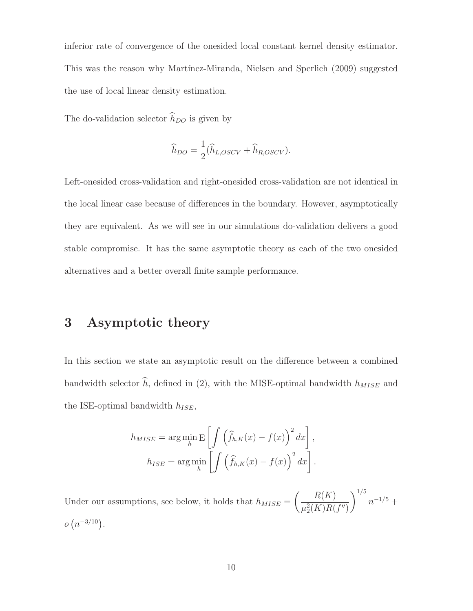inferior rate of convergence of the onesided local constant kernel density estimator. This was the reason why Martínez-Miranda, Nielsen and Sperlich (2009) suggested the use of local linear density estimation.

The do-validation selector  $h_{DO}$  is given by

$$
\widehat{h}_{DO} = \frac{1}{2} (\widehat{h}_{L,OSCV} + \widehat{h}_{R,OSCV}).
$$

Left-onesided cross-validation and right-onesided cross-validation are not identical in the local linear case because of differences in the boundary. However, asymptotically they are equivalent. As we will see in our simulations do-validation delivers a good stable compromise. It has the same asymptotic theory as each of the two onesided alternatives and a better overall finite sample performance.

#### **3 Asymptotic theory**

In this section we state an asymptotic result on the difference between a combined bandwidth selector  $h$ , defined in (2), with the MISE-optimal bandwidth  $h_{MISE}$  and the ISE-optimal bandwidth  $h_{ISE}$ ,

$$
h_{MISE} = \arg\min_{h} \mathbb{E}\left[\int \left(\widehat{f}_{h,K}(x) - f(x)\right)^2 dx\right],
$$

$$
h_{ISE} = \arg\min_{h} \left[\int \left(\widehat{f}_{h,K}(x) - f(x)\right)^2 dx\right].
$$

Under our assumptions, see below, it holds that  $h_{MISE} =$  $\left($   $R(K)$  $\mu_2^2(K)R(f'')$  $\setminus$ <sup>1/5</sup>  $n^{-1/5} +$  $o(n^{-3/10})$ .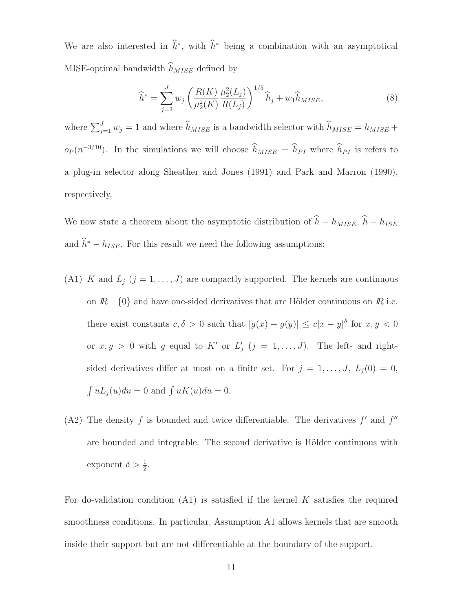We are also interested in  $h^*$ , with  $h^*$  being a combination with an asymptotical MISE-optimal bandwidth  $h_{MISE}$  defined by

$$
\widehat{h}^* = \sum_{j=2}^{J} w_j \left( \frac{R(K)}{\mu_2^2(K)} \frac{\mu_2^2(L_j)}{R(L_j)} \right)^{1/5} \widehat{h}_j + w_1 \widehat{h}_{MISE},\tag{8}
$$

where  $\sum_{j=1}^{J} w_j = 1$  and where  $\widehat{h}_{MISE}$  is a bandwidth selector with  $\widehat{h}_{MISE} = h_{MISE} +$  $o_P(n^{-3/10})$ . In the simulations we will choose  $\hat{h}_{MISE} = \hat{h}_{PI}$  where  $\hat{h}_{PI}$  is refers to a plug-in selector along Sheather and Jones (1991) and Park and Marron (1990), respectively.

We now state a theorem about the asymptotic distribution of  $h - h_{MISE}$ ,  $h - h_{ISE}$ and  $h^* - h_{ISE}$ . For this result we need the following assumptions:

- (A1) K and  $L_j$  ( $j = 1, ..., J$ ) are compactly supported. The kernels are continuous on  $I\!R$  – {0} and have one-sided derivatives that are Hölder continuous on  $I\!R$  i.e. there exist constants  $c, \delta > 0$  such that  $|g(x) - g(y)| \leq c|x - y|^{\delta}$  for  $x, y < 0$ or  $x, y > 0$  with g equal to K' or  $L'_j$   $(j = 1, ..., J)$ . The left- and rightsided derivatives differ at most on a finite set. For  $j = 1, ..., J$ ,  $L_j(0) = 0$ ,  $\int uL_j(u)du = 0$  and  $\int uK(u)du = 0$ .
- (A2) The density  $f$  is bounded and twice differentiable. The derivatives  $f'$  and  $f''$ are bounded and integrable. The second derivative is Hölder continuous with exponent  $\delta > \frac{1}{2}$ .

For do-validation condition  $(A1)$  is satisfied if the kernel K satisfies the required smoothness conditions. In particular, Assumption A1 allows kernels that are smooth inside their support but are not differentiable at the boundary of the support.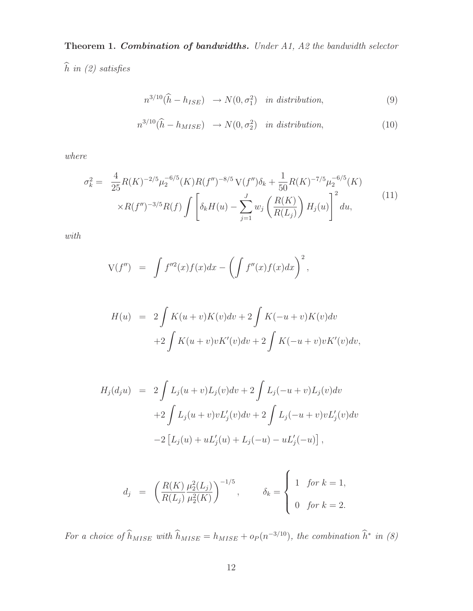**Theorem 1.** *Combination of bandwidths. Under A1, A2 the bandwidth selector*

- h *in (2) satisfies*

$$
n^{3/10}(\hat{h} - h_{ISE}) \rightarrow N(0, \sigma_1^2) \quad in \ distribution,
$$
\n(9)

$$
n^{3/10}(\widehat{h} - h_{MISE}) \rightarrow N(0, \sigma_2^2) \quad in \ distribution,
$$
\n(10)

*where*

$$
\sigma_k^2 = \frac{4}{25} R(K)^{-2/5} \mu_2^{-6/5}(K) R(f'')^{-8/5} \mathcal{V}(f'') \delta_k + \frac{1}{50} R(K)^{-7/5} \mu_2^{-6/5}(K) \times R(f'')^{-3/5} R(f) \int \left[ \delta_k H(u) - \sum_{j=1}^J w_j \left( \frac{R(K)}{R(L_j)} \right) H_j(u) \right]^2 du,
$$
\n
$$
(11)
$$

*with*

$$
V(f'') = \int f''^2(x)f(x)dx - \left(\int f''(x)f(x)dx\right)^2,
$$

$$
H(u) = 2 \int K(u+v)K(v)dv + 2 \int K(-u+v)K(v)dv
$$
  
+2 \int K(u+v)vK'(v)dv + 2 \int K(-u+v)vK'(v)dv,

$$
H_j(d_ju) = 2 \int L_j(u+v)L_j(v)dv + 2 \int L_j(-u+v)L_j(v)dv
$$
  
+2  $\int L_j(u+v)vL'_j(v)dv + 2 \int L_j(-u+v)vL'_j(v)dv$   
-2  $[L_j(u) + uL'_j(u) + L_j(-u) - uL'_j(-u)]$ ,

$$
d_j = \left(\frac{R(K)}{R(L_j)} \frac{\mu_2^2(L_j)}{\mu_2^2(K)}\right)^{-1/5}, \qquad \delta_k = \begin{cases} 1 & \text{for } k = 1, \\ 0 & \text{for } k = 2. \end{cases}
$$

For a choice of  $\hat{h}_{MISE}$  with  $\hat{h}_{MISE} = h_{MISE} + o_P(n^{-3/10})$ , the combination  $\hat{h}^*$  in (8)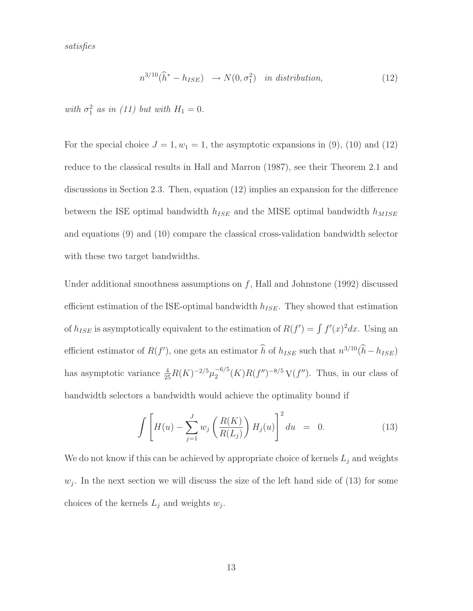*satisfies*

$$
n^{3/10}(\widehat{h}^* - h_{ISE}) \rightarrow N(0, \sigma_1^2) \quad in \, distribution,\tag{12}
$$

*with*  $\sigma_1^2$  *as in (11) but with*  $H_1 = 0$ *.* 

For the special choice  $J = 1, w_1 = 1$ , the asymptotic expansions in (9), (10) and (12) reduce to the classical results in Hall and Marron (1987), see their Theorem 2.1 and discussions in Section 2.3. Then, equation (12) implies an expansion for the difference between the ISE optimal bandwidth  $h_{ISE}$  and the MISE optimal bandwidth  $h_{MISE}$ and equations (9) and (10) compare the classical cross-validation bandwidth selector with these two target bandwidths.

Under additional smoothness assumptions on  $f$ , Hall and Johnstone (1992) discussed efficient estimation of the ISE-optimal bandwidth  $h_{ISE}$ . They showed that estimation of  $h_{ISE}$  is asymptotically equivalent to the estimation of  $R(f') = \int f'(x)^2 dx$ . Using an efficient estimator of  $R(f')$ , one gets an estimator  $\hat{h}$  of  $h_{ISE}$  such that  $n^{3/10}(\hat{h} - h_{ISE})$ has asymptotic variance  $\frac{4}{25}R(K)^{-2/5}\mu_2^{-6/5}(K)R(f'')^{-8/5}V(f'')$ . Thus, in our class of bandwidth selectors a bandwidth would achieve the optimality bound if

$$
\int \left[ H(u) - \sum_{j=1}^{J} w_j \left( \frac{R(K)}{R(L_j)} \right) H_j(u) \right]^2 du = 0.
$$
 (13)

We do not know if this can be achieved by appropriate choice of kernels  $L_j$  and weights  $w_j$ . In the next section we will discuss the size of the left hand side of (13) for some choices of the kernels  $L_j$  and weights  $w_j$ .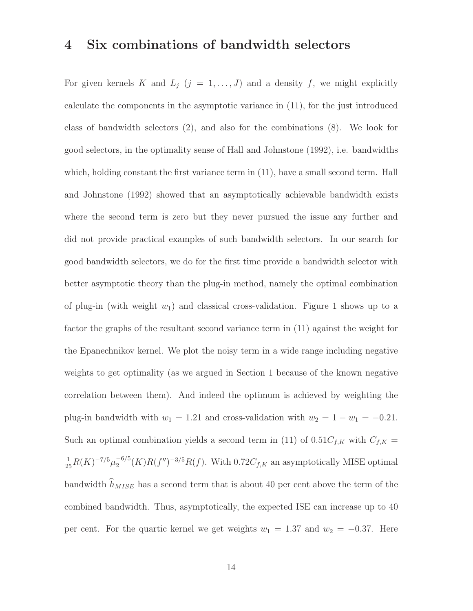#### **4 Six combinations of bandwidth selectors**

For given kernels K and  $L_j$   $(j = 1, ..., J)$  and a density f, we might explicitly calculate the components in the asymptotic variance in (11), for the just introduced class of bandwidth selectors (2), and also for the combinations (8). We look for good selectors, in the optimality sense of Hall and Johnstone (1992), i.e. bandwidths which, holding constant the first variance term in (11), have a small second term. Hall and Johnstone (1992) showed that an asymptotically achievable bandwidth exists where the second term is zero but they never pursued the issue any further and did not provide practical examples of such bandwidth selectors. In our search for good bandwidth selectors, we do for the first time provide a bandwidth selector with better asymptotic theory than the plug-in method, namely the optimal combination of plug-in (with weight  $w_1$ ) and classical cross-validation. Figure 1 shows up to a factor the graphs of the resultant second variance term in (11) against the weight for the Epanechnikov kernel. We plot the noisy term in a wide range including negative weights to get optimality (as we argued in Section 1 because of the known negative correlation between them). And indeed the optimum is achieved by weighting the plug-in bandwidth with  $w_1 = 1.21$  and cross-validation with  $w_2 = 1 - w_1 = -0.21$ . Such an optimal combination yields a second term in (11) of  $0.51C_{f,K}$  with  $C_{f,K}$  $\frac{1}{25}R(K)^{-7/5}\mu_2^{-6/5}(K)R(f'')^{-3/5}R(f)$ . With 0.72 $C_{f,K}$  an asymptotically MISE optimal bandwidth  $h_{MISE}$  has a second term that is about 40 per cent above the term of the combined bandwidth. Thus, asymptotically, the expected ISE can increase up to 40 per cent. For the quartic kernel we get weights  $w_1 = 1.37$  and  $w_2 = -0.37$ . Here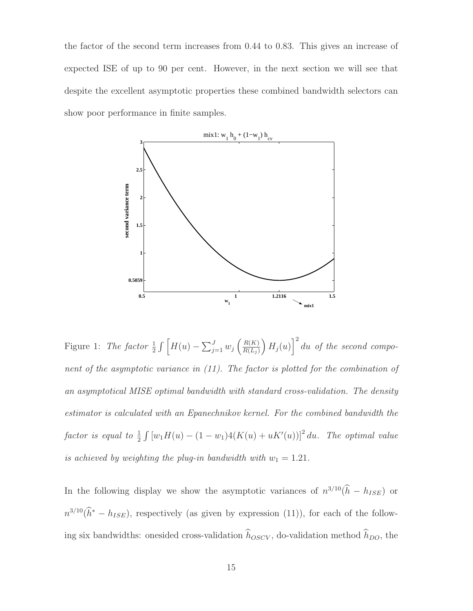the factor of the second term increases from 0.44 to 0.83. This gives an increase of expected ISE of up to 90 per cent. However, in the next section we will see that despite the excellent asymptotic properties these combined bandwidth selectors can show poor performance in finite samples.



Figure 1: *The factor*  $\frac{1}{2} \int \left[ H(u) - \sum_{j=1}^{J} w_j \left( \frac{R(K)}{R(L_j)} \right) \right]$  $R(L_j)$  $\Big\| H_j(u) \Big\|^2 du$  *of the second component of the asymptotic variance in (11). The factor is plotted for the combination of an asymptotical MISE optimal bandwidth with standard cross-validation. The density estimator is calculated with an Epanechnikov kernel. For the combined bandwidth the*  $factor$  is equal to  $\frac{1}{2} \int [w_1 H(u) - (1 - w_1) 4(K(u) + uK'(u))]^2 du$ . The optimal value *is achieved by weighting the plug-in bandwidth with*  $w_1 = 1.21$ *.* 

In the following display we show the asymptotic variances of  $n^{3/10}(\tilde{h} - h_{ISE})$  or  $n^{3/10}(\hat{h}^* - h_{ISE})$ , respectively (as given by expression (11)), for each of the following six bandwidths: onesided cross-validation  $h_{OSCV}$ , do-validation method  $h_{DO}$ , the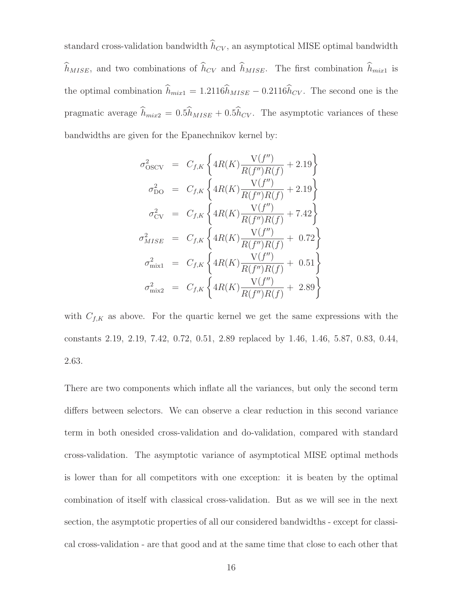standard cross-validation bandwidth  $h_{CV}$ , an asymptotical MISE optimal bandwidth  $h_{MISE}$ , and two combinations of  $h_{CV}$  and  $h_{MISE}$ . The first combination  $h_{mix1}$  is the optimal combination  $h_{mix1} = 1.2116h_{MISE} - 0.2116h_{CV}$ . The second one is the pragmatic average  $h_{mix2} = 0.5h_{MISE} + 0.5h_{CV}$ . The asymptotic variances of these bandwidths are given for the Epanechnikov kernel by:

$$
\sigma_{\text{OSCV}}^2 = C_{f,K} \left\{ 4R(K) \frac{V(f'')}{R(f'')R(f)} + 2.19 \right\}
$$
  
\n
$$
\sigma_{\text{DO}}^2 = C_{f,K} \left\{ 4R(K) \frac{V(f'')}{R(f'')R(f)} + 2.19 \right\}
$$
  
\n
$$
\sigma_{\text{CV}}^2 = C_{f,K} \left\{ 4R(K) \frac{V(f'')}{R(f'')R(f)} + 7.42 \right\}
$$
  
\n
$$
\sigma_{MISE}^2 = C_{f,K} \left\{ 4R(K) \frac{V(f'')}{R(f'')R(f)} + 0.72 \right\}
$$
  
\n
$$
\sigma_{\text{mix1}}^2 = C_{f,K} \left\{ 4R(K) \frac{V(f'')}{R(f'')R(f)} + 0.51 \right\}
$$
  
\n
$$
\sigma_{\text{mix2}}^2 = C_{f,K} \left\{ 4R(K) \frac{V(f'')}{R(f'')R(f)} + 2.89 \right\}
$$

with  $C_{f,K}$  as above. For the quartic kernel we get the same expressions with the constants 2.19, 2.19, 7.42, 0.72, 0.51, 2.89 replaced by 1.46, 1.46, 5.87, 0.83, 0.44, 2.63.

There are two components which inflate all the variances, but only the second term differs between selectors. We can observe a clear reduction in this second variance term in both onesided cross-validation and do-validation, compared with standard cross-validation. The asymptotic variance of asymptotical MISE optimal methods is lower than for all competitors with one exception: it is beaten by the optimal combination of itself with classical cross-validation. But as we will see in the next section, the asymptotic properties of all our considered bandwidths - except for classical cross-validation - are that good and at the same time that close to each other that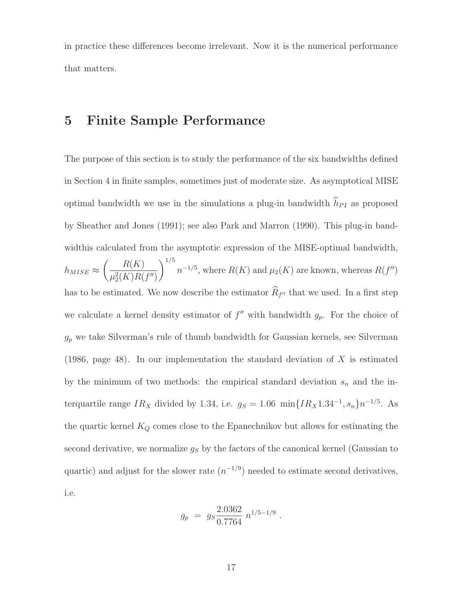in practice these differences become irrelevant. Now it is the numerical performance that matters.

#### **5 Finite Sample Performance**

The purpose of this section is to study the performance of the six bandwidths defined in Section 4 in finite samples, sometimes just of moderate size. As asymptotical MISE optimal bandwidth we use in the simulations a plug-in bandwidth  $h_{PI}$  as proposed by Sheather and Jones (1991); see also Park and Marron (1990). This plug-in bandwidthis calculated from the asymptotic expression of the MISE-optimal bandwidth,  $h_{MISE} \approx$  $\left($   $R(K)$  $\mu_2^2(K)R(f'')$  $\setminus$ <sup>1/5</sup>  $n^{-1/5}$ , where  $R(K)$  and  $\mu_2(K)$  are known, whereas  $R(f'')$ has to be estimated. We now describe the estimator  $R_{f''}$  that we used. In a first step we calculate a kernel density estimator of  $f''$  with bandwidth  $g_p$ . For the choice of  $g_p$  we take Silverman's rule of thumb bandwidth for Gaussian kernels, see Silverman (1986, page 48). In our implementation the standard deviation of  $X$  is estimated by the minimum of two methods: the empirical standard deviation  $s_n$  and the interquartile range  $IR_X$  divided by 1.34, i.e.  $g_S = 1.06 \text{ min}\{IR_X1.34^{-1}, s_n\}n^{-1/5}$ . As the quartic kernel  $K_Q$  comes close to the Epanechnikov but allows for estimating the second derivative, we normalize  $g_S$  by the factors of the canonical kernel (Gaussian to quartic) and adjust for the slower rate  $(n^{-1/9})$  needed to estimate second derivatives, i.e.

$$
g_p = g_s \frac{2.0362}{0.7764} n^{1/5 - 1/9} .
$$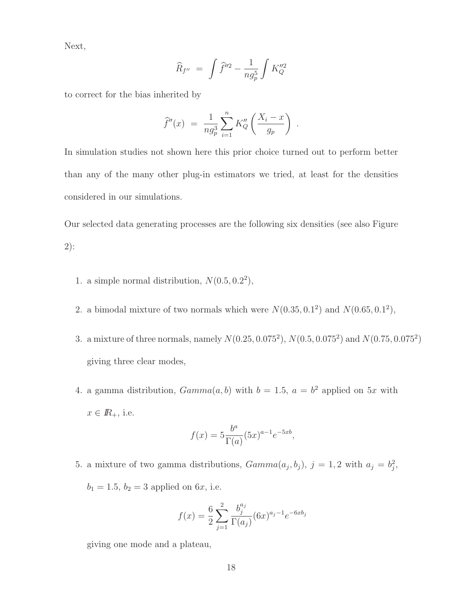Next,

$$
\widehat{R}_{f^{\prime\prime}} \,\,=\,\, \int \widehat{f}^{\prime\prime 2} \,-\, \frac{1}{n g_p^5} \int K^{\prime\prime 2}_{Q}
$$

to correct for the bias inherited by

$$
\widehat{f}''(x) = \frac{1}{ng_p^3} \sum_{i=1}^n K''_Q \left( \frac{X_i - x}{g_p} \right) .
$$

In simulation studies not shown here this prior choice turned out to perform better than any of the many other plug-in estimators we tried, at least for the densities considered in our simulations.

Our selected data generating processes are the following six densities (see also Figure 2):

- 1. a simple normal distribution,  $N(0.5, 0.2^2)$ ,
- 2. a bimodal mixture of two normals which were  $N(0.35, 0.1^2)$  and  $N(0.65, 0.1^2)$ ,
- 3. a mixture of three normals, namely  $N(0.25, 0.075^2)$ ,  $N(0.5, 0.075^2)$  and  $N(0.75, 0.075^2)$ giving three clear modes,
- 4. a gamma distribution,  $Gamma(a, b)$  with  $b = 1.5$ ,  $a = b<sup>2</sup>$  applied on 5x with  $x \in \mathbb{R}_+$ , i.e.

$$
f(x) = 5 \frac{b^a}{\Gamma(a)} (5x)^{a-1} e^{-5xb},
$$

5. a mixture of two gamma distributions,  $Gamma(a_j, b_j)$ ,  $j = 1, 2$  with  $a_j = b_j^2$ ,  $b_1 = 1.5, b_2 = 3$  applied on 6x, i.e.

$$
f(x) = \frac{6}{2} \sum_{j=1}^{2} \frac{b_j^{a_j}}{\Gamma(a_j)} (6x)^{a_j - 1} e^{-6xb_j}
$$

giving one mode and a plateau,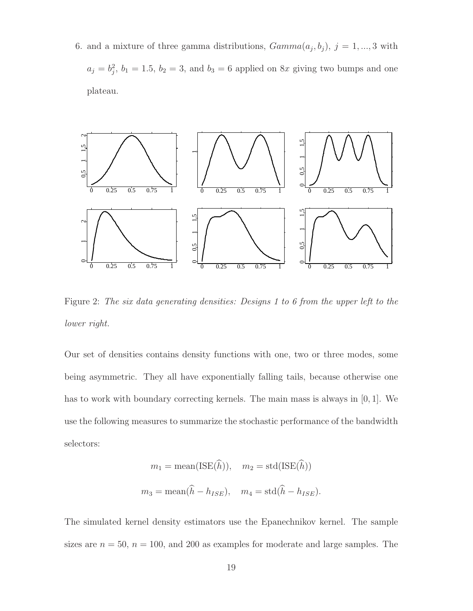6. and a mixture of three gamma distributions,  $Gamma(a_j, b_j)$ ,  $j = 1, ..., 3$  with  $a_j = b_j^2$ ,  $b_1 = 1.5$ ,  $b_2 = 3$ , and  $b_3 = 6$  applied on 8x giving two bumps and one plateau.



Figure 2: *The six data generating densities: Designs 1 to 6 from the upper left to the lower right.*

Our set of densities contains density functions with one, two or three modes, some being asymmetric. They all have exponentially falling tails, because otherwise one has to work with boundary correcting kernels. The main mass is always in [0, 1]. We use the following measures to summarize the stochastic performance of the bandwidth selectors:

$$
m_1 = \text{mean}(\text{ISE}(\hat{h})), \quad m_2 = \text{std}(\text{ISE}(\hat{h}))
$$

$$
m_3 = \text{mean}(\hat{h} - h_{ISE}), \quad m_4 = \text{std}(\hat{h} - h_{ISE}).
$$

The simulated kernel density estimators use the Epanechnikov kernel. The sample sizes are  $n = 50$ ,  $n = 100$ , and 200 as examples for moderate and large samples. The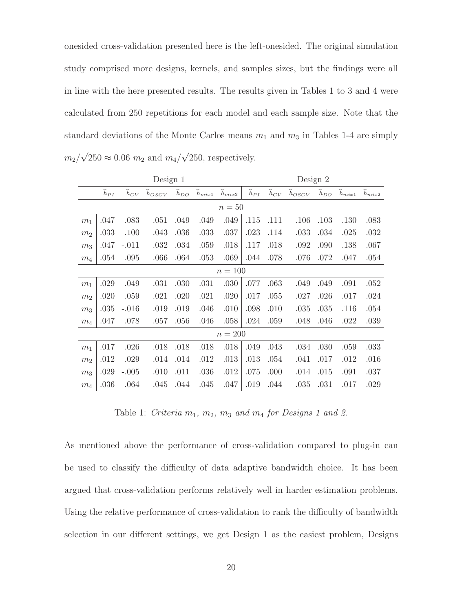onesided cross-validation presented here is the left-onesided. The original simulation study comprised more designs, kernels, and samples sizes, but the findings were all in line with the here presented results. The results given in Tables 1 to 3 and 4 were calculated from 250 repetitions for each model and each sample size. Note that the standard deviations of the Monte Carlos means  $m_1$  and  $m_3$  in Tables 1-4 are simply  $m_2/\sqrt{250} \approx 0.06$   $m_2$  and  $m_4/\sqrt{250}$ , respectively.

|                | Design 1           |                    |                      |                |                      |                      |                    | Design 2       |                      |                    |                      |                      |  |  |
|----------------|--------------------|--------------------|----------------------|----------------|----------------------|----------------------|--------------------|----------------|----------------------|--------------------|----------------------|----------------------|--|--|
|                | $\widehat{h}_{PI}$ | $\widehat{h}_{CV}$ | $\widehat{h}_{OSCV}$ | $\hat{h}_{DO}$ | $\widehat{h}_{mix1}$ | $\widehat{h}_{mix2}$ | $\widehat{h}_{PI}$ | $\hat{h}_{CV}$ | $\widehat{h}_{OSCV}$ | $\widehat{h}_{DO}$ | $\widehat{h}_{mix1}$ | $\widehat{h}_{mix2}$ |  |  |
| $n=50$         |                    |                    |                      |                |                      |                      |                    |                |                      |                    |                      |                      |  |  |
| m <sub>1</sub> | .047               | .083               | .051                 | .049           | .049                 | .049                 | .115               | .111           | .106                 | .103               | .130                 | .083                 |  |  |
| $\sqrt{m_2}$   | .033               | .100               | .043                 | .036           | .033                 | .037                 | .023               | .114           | .033                 | .034               | .025                 | .032                 |  |  |
| m <sub>3</sub> | .047               | $-.011$            | .032                 | .034           | .059                 | .018                 | .117               | .018           | .092                 | .090               | .138                 | .067                 |  |  |
| m <sub>4</sub> | .054               | .095               | .066                 | .064           | .053                 | .069                 | .044               | .078           | .076                 | .072               | .047                 | .054                 |  |  |
| $n = 100$      |                    |                    |                      |                |                      |                      |                    |                |                      |                    |                      |                      |  |  |
| m <sub>1</sub> | .029               | .049               | .031                 | .030           | .031                 | .030                 | .077               | .063           | .049                 | .049               | .091                 | .052                 |  |  |
| $\sqrt{m_2}$   | .020               | .059               | .021                 | .020           | .021                 | .020                 | .017               | .055           | .027                 | .026               | .017                 | .024                 |  |  |
| $\,m_3$        | .035               | $-.016$            | .019                 | .019           | .046                 | .010                 | .098               | .010           | .035                 | .035               | .116                 | .054                 |  |  |
| m <sub>4</sub> | .047               | .078               | .057                 | .056           | .046                 | .058                 | .024               | .059           | .048                 | .046               | .022                 | .039                 |  |  |
|                |                    |                    |                      |                |                      | $n=200$              |                    |                |                      |                    |                      |                      |  |  |
| m <sub>1</sub> | .017               | .026               | .018                 | .018           | .018                 | .018                 | .049               | .043           | .034                 | .030               | .059                 | .033                 |  |  |
| $\sqrt{m_2}$   | .012               | .029               | .014                 | .014           | .012                 | .013                 | .013               | .054           | .041                 | .017               | .012                 | .016                 |  |  |
| $\,m_3$        | .029               | $-.005$            | .010                 | .011           | .036                 | .012                 | .075               | .000           | .014                 | .015               | .091                 | .037                 |  |  |
| $m_4$          | .036               | .064               | .045                 | .044           | .045                 | .047                 | .019               | .044           | .035                 | .031               | .017                 | .029                 |  |  |

Table 1: *Criteria*  $m_1$ ,  $m_2$ ,  $m_3$  *and*  $m_4$  *for Designs 1 and 2.* 

As mentioned above the performance of cross-validation compared to plug-in can be used to classify the difficulty of data adaptive bandwidth choice. It has been argued that cross-validation performs relatively well in harder estimation problems. Using the relative performance of cross-validation to rank the difficulty of bandwidth selection in our different settings, we get Design 1 as the easiest problem, Designs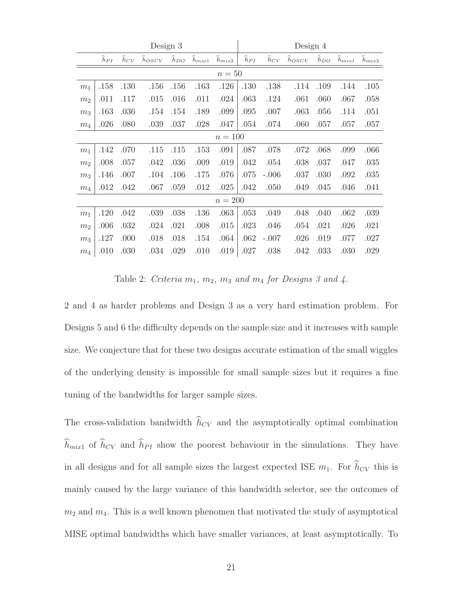|                | Design 3  |                      |            |                    |                      |                      |                    | Design 4           |                  |          |            |            |  |
|----------------|-----------|----------------------|------------|--------------------|----------------------|----------------------|--------------------|--------------------|------------------|----------|------------|------------|--|
|                | $h_{PI}$  | $\widetilde{h}_{CV}$ | $h_{OSCV}$ | $\widehat{h}_{DO}$ | $\widehat{h}_{mix1}$ | $\widehat{h}_{mix2}$ | $\widehat{h}_{PI}$ | $\widehat{h}_{CV}$ | $\hat{h}_{OSCV}$ | $h_{DO}$ | $h_{mix1}$ | $h_{mix2}$ |  |
|                |           |                      |            |                    |                      | $n=50$               |                    |                    |                  |          |            |            |  |
| m <sub>1</sub> | .158      | .130                 | .156       | .156               | .163                 | .126                 | .130               | .138               | .114             | .109     | .144       | .105       |  |
| m <sub>2</sub> | .011      | .117                 | .015       | .016               | .011                 | .024                 | .063               | .124               | .061             | .060     | .067       | .058       |  |
| m <sub>3</sub> | .163      | .036                 | .154       | .154               | .189                 | .099                 | .095               | .007               | .063             | .056     | .114       | .051       |  |
| $\sqrt{m_4}$   | .026      | .080                 | .039       | .037               | .028                 | .047                 | .054               | .074               | .060             | .057     | .057       | .057       |  |
| $n = 100$      |           |                      |            |                    |                      |                      |                    |                    |                  |          |            |            |  |
| m <sub>1</sub> | .142      | .070                 | .115       | .115               | .153                 | .091                 | .087               | .078               | .072             | .068     | .099       | .066       |  |
| m <sub>2</sub> | .008      | .057                 | .042       | .036               | .009                 | .019                 | .042               | .054               | .038             | .037     | .047       | .035       |  |
| m <sub>3</sub> | .146      | .007                 | .104       | .106               | .175                 | .076                 | .075               | $-.006$            | .037             | .030     | .092       | .035       |  |
| m <sub>4</sub> | .012      | .042                 | .067       | .059               | .012                 | .025                 | .042               | .050               | .049             | .045     | .046       | .041       |  |
|                | $n = 200$ |                      |            |                    |                      |                      |                    |                    |                  |          |            |            |  |
| m <sub>1</sub> | .120      | .042                 | .039       | .038               | .136                 | .063                 | .053               | .049               | .048             | .040     | .062       | .039       |  |
| m <sub>2</sub> | .006      | .032                 | .024       | .021               | .008                 | .015                 | .023               | .046               | .054             | .021     | .026       | .021       |  |
| m <sub>3</sub> | .127      | .000                 | .018       | .018               | .154                 | .064                 | .062               | $-.007$            | .026             | .019     | .077       | .027       |  |
| $\sqrt{m_4}$   | .010      | .030                 | .034       | .029               | .010                 | .019                 | .027               | .038               | .042             | .033     | .030       | .029       |  |

Table 2: *Criteria*  $m_1$ *,*  $m_2$ *,*  $m_3$  *and*  $m_4$  *for Designs 3 and 4.* 

2 and 4 as harder problems and Design 3 as a very hard estimation problem. For Designs 5 and 6 the difficulty depends on the sample size and it increases with sample size. We conjecture that for these two designs accurate estimation of the small wiggles of the underlying density is impossible for small sample sizes but it requires a fine tuning of the bandwidths for larger sample sizes.

The cross-validation bandwidth  $h_{CV}$  and the asymptotically optimal combination  $h_{mix1}$  of  $h_{CV}$  and  $h_{PI}$  show the poorest behaviour in the simulations. They have in all designs and for all sample sizes the largest expected ISE  $m_1$ . For  $h_{CV}$  this is mainly caused by the large variance of this bandwidth selector, see the outcomes of  $m_2$  and  $m_4$ . This is a well known phenomen that motivated the study of asymptotical MISE optimal bandwidths which have smaller variances, at least asymptotically. To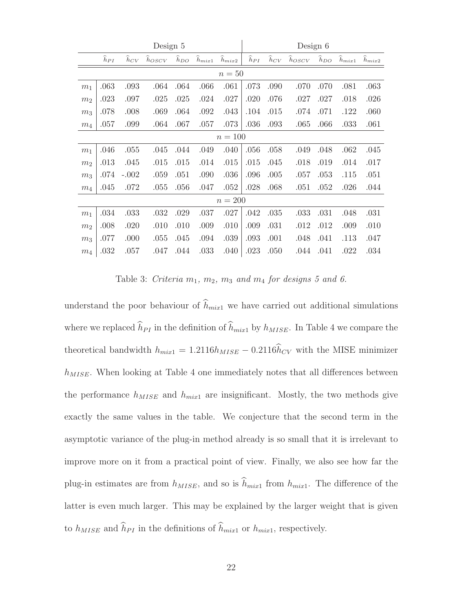| Design 5       |                    |                |                  |          |                  |                  | Design 6           |                    |            |                    |            |            |  |
|----------------|--------------------|----------------|------------------|----------|------------------|------------------|--------------------|--------------------|------------|--------------------|------------|------------|--|
|                | $\widehat{h}_{PI}$ | $\hat{h}_{CV}$ | $\hat{h}_{OSCV}$ | $h_{DO}$ | $\hat{h}_{mix1}$ | $\hat{h}_{mix2}$ | $\widehat{h}_{PI}$ | $\widehat{h}_{CV}$ | $h_{OSCV}$ | $\widehat{h}_{DO}$ | $h_{mix1}$ | $h_{mix2}$ |  |
| $n=50$         |                    |                |                  |          |                  |                  |                    |                    |            |                    |            |            |  |
| m <sub>1</sub> | .063               | .093           | .064             | .064     | .066             | .061             | .073               | .090               | .070       | .070               | .081       | .063       |  |
| m <sub>2</sub> | .023               | .097           | .025             | .025     | .024             | .027             | .020               | .076               | .027       | .027               | .018       | .026       |  |
| m <sub>3</sub> | .078               | .008           | .069             | .064     | .092             | .043             | .104               | .015               | .074       | .071               | .122       | .060       |  |
| $\sqrt{m_4}$   | .057               | .099           | .064             | .067     | .057             | .073             | .036               | .093               | .065       | .066               | .033       | .061       |  |
| $n = 100$      |                    |                |                  |          |                  |                  |                    |                    |            |                    |            |            |  |
| m <sub>1</sub> | .046               | .055           | .045             | .044     | .049             | .040             | .056               | .058               | .049       | .048               | .062       | .045       |  |
| $\,m_2$        | .013               | .045           | .015             | .015     | .014             | .015             | .015               | .045               | .018       | .019               | .014       | .017       |  |
| m <sub>3</sub> | .074               | $-.002$        | .059             | .051     | .090             | .036             | .096               | .005               | .057       | .053               | .115       | .051       |  |
| $m_4$          | .045               | .072           | .055             | .056     | .047             | .052             | .028               | .068               | .051       | .052               | .026       | .044       |  |
|                |                    |                |                  |          |                  | $n=200$          |                    |                    |            |                    |            |            |  |
| m <sub>1</sub> | .034               | .033           | .032             | .029     | .037             | .027             | .042               | .035               | .033       | .031               | .048       | .031       |  |
| $\,m_2$        | .008               | .020           | .010             | .010     | .009             | .010             | .009               | .031               | .012       | .012               | .009       | .010       |  |
| $m_3$          | .077               | .000           | .055             | .045     | .094             | .039             | .093               | .001               | .048       | .041               | .113       | .047       |  |
| m <sub>4</sub> | .032               | .057           | .047             | .044     | .033             | .040             | .023               | .050               | .044       | .041               | .022       | .034       |  |

Table 3: *Criteria*  $m_1$ ,  $m_2$ ,  $m_3$  *and*  $m_4$  *for designs 5 and 6.* 

understand the poor behaviour of  $h_{mix1}$  we have carried out additional simulations where we replaced  $h_{PI}$  in the definition of  $h_{mix1}$  by  $h_{MISE}$ . In Table 4 we compare the theoretical bandwidth  $h_{mix1} = 1.2116h_{MISE} - 0.2116h_{CV}$  with the MISE minimizer  $h_{MISE}$ . When looking at Table 4 one immediately notes that all differences between the performance  $h_{MISE}$  and  $h_{mix1}$  are insignificant. Mostly, the two methods give exactly the same values in the table. We conjecture that the second term in the asymptotic variance of the plug-in method already is so small that it is irrelevant to improve more on it from a practical point of view. Finally, we also see how far the plug-in estimates are from  $h_{MISE}$ , and so is  $h_{mix1}$  from  $h_{mix1}$ . The difference of the latter is even much larger. This may be explained by the larger weight that is given to  $h_{MISE}$  and  $h_{PI}$  in the definitions of  $h_{mix1}$  or  $h_{mix1}$ , respectively.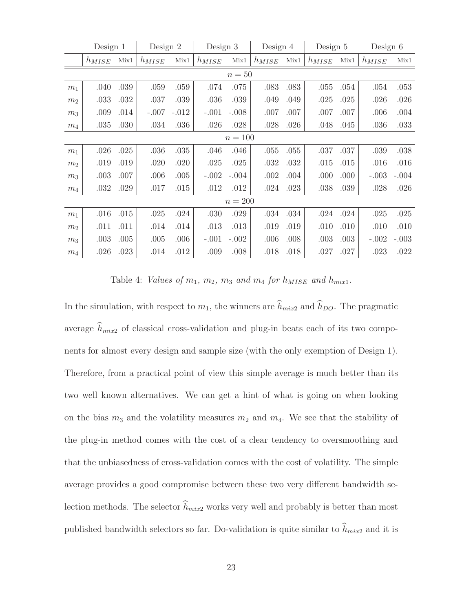|                | Design 1   |      | Design 2   |         | Design 3   |         | Design 4   |      | Design 5   |      | Design $6$ |         |
|----------------|------------|------|------------|---------|------------|---------|------------|------|------------|------|------------|---------|
|                | $h_{MISE}$ | Mix1 | $h_{MISE}$ | Mix1    | $h_{MISE}$ | Mix1    | $h_{MISE}$ | Mix1 | $h_{MISE}$ | Mix1 | $h_{MISE}$ | Mix1    |
| $n=50$         |            |      |            |         |            |         |            |      |            |      |            |         |
| m <sub>1</sub> | .040       | .039 | .059       | .059    | .074       | .075    | .083       | .083 | .055       | .054 | .054       | .053    |
| m <sub>2</sub> | .033       | .032 | .037       | .039    | .036       | .039    | .049       | .049 | .025       | .025 | .026       | .026    |
| m <sub>3</sub> | .009       | .014 | $-.007$    | $-.012$ | $-.001$    | $-.008$ | .007       | .007 | .007       | .007 | .006       | .004    |
| $\sqrt{m_4}$   | .035       | .030 | .034       | .036    | .026       | .028    | .028       | .026 | .048       | .045 | .036       | .033    |
| $n = 100$      |            |      |            |         |            |         |            |      |            |      |            |         |
| m <sub>1</sub> | .026       | .025 | .036       | .035    | .046       | .046    | .055       | .055 | .037       | .037 | .039       | .038    |
| m <sub>2</sub> | .019       | .019 | .020       | .020    | .025       | .025    | .032       | .032 | .015       | .015 | .016       | .016    |
| m <sub>3</sub> | .003       | .007 | .006       | .005    | $-.002$    | $-.004$ | .002       | .004 | .000       | .000 | $-.003$    | $-.004$ |
| $\sqrt{m_4}$   | .032       | .029 | .017       | .015    | .012       | .012    | .024       | .023 | .038       | .039 | .028       | .026    |
|                |            |      |            |         |            | $n=200$ |            |      |            |      |            |         |
| m <sub>1</sub> | .016       | .015 | .025       | .024    | .030       | .029    | .034       | .034 | .024       | .024 | .025       | .025    |
| m <sub>2</sub> | .011       | .011 | .014       | .014    | .013       | .013    | .019       | .019 | .010       | .010 | .010       | .010    |
| $\,m_3$        | .003       | .005 | .005       | .006    | $-.001$    | $-.002$ | .006       | .008 | .003       | .003 | $-.002$    | $-.003$ |
| $\sqrt{m_4}$   | .026       | .023 | .014       | .012    | .009       | .008    | .018       | .018 | .027       | .027 | .023       | .022    |

Table 4: *Values of*  $m_1$ ,  $m_2$ ,  $m_3$  *and*  $m_4$  *for*  $h_{MISE}$  *and*  $h_{mix1}$ *.* 

In the simulation, with respect to  $m_1$ , the winners are  $h_{mix2}$  and  $h_{DO}$ . The pragmatic average  $h_{mix2}$  of classical cross-validation and plug-in beats each of its two components for almost every design and sample size (with the only exemption of Design 1). Therefore, from a practical point of view this simple average is much better than its two well known alternatives. We can get a hint of what is going on when looking on the bias  $m_3$  and the volatility measures  $m_2$  and  $m_4$ . We see that the stability of the plug-in method comes with the cost of a clear tendency to oversmoothing and that the unbiasedness of cross-validation comes with the cost of volatility. The simple average provides a good compromise between these two very different bandwidth selection methods. The selector  $h_{mix2}$  works very well and probably is better than most published bandwidth selectors so far. Do-validation is quite similar to  $h_{mix2}$  and it is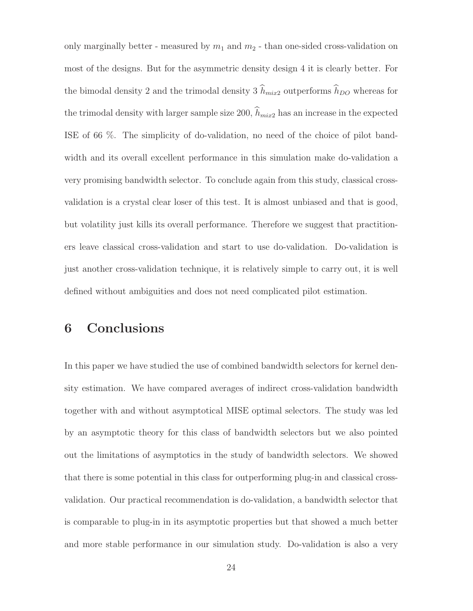only marginally better - measured by  $m_1$  and  $m_2$  - than one-sided cross-validation on most of the designs. But for the asymmetric density design 4 it is clearly better. For the bimodal density 2 and the trimodal density 3  $h_{mix2}$  outperforms  $h_{DO}$  whereas for the trimodal density with larger sample size 200,  $h_{mix2}$  has an increase in the expected ISE of 66 %. The simplicity of do-validation, no need of the choice of pilot bandwidth and its overall excellent performance in this simulation make do-validation a very promising bandwidth selector. To conclude again from this study, classical crossvalidation is a crystal clear loser of this test. It is almost unbiased and that is good, but volatility just kills its overall performance. Therefore we suggest that practitioners leave classical cross-validation and start to use do-validation. Do-validation is just another cross-validation technique, it is relatively simple to carry out, it is well defined without ambiguities and does not need complicated pilot estimation.

## **6 Conclusions**

In this paper we have studied the use of combined bandwidth selectors for kernel density estimation. We have compared averages of indirect cross-validation bandwidth together with and without asymptotical MISE optimal selectors. The study was led by an asymptotic theory for this class of bandwidth selectors but we also pointed out the limitations of asymptotics in the study of bandwidth selectors. We showed that there is some potential in this class for outperforming plug-in and classical crossvalidation. Our practical recommendation is do-validation, a bandwidth selector that is comparable to plug-in in its asymptotic properties but that showed a much better and more stable performance in our simulation study. Do-validation is also a very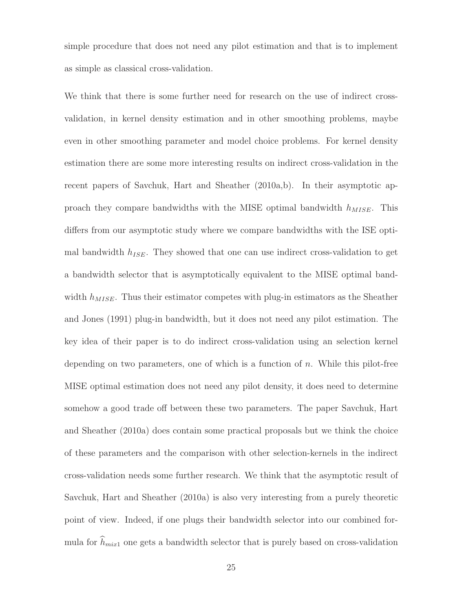simple procedure that does not need any pilot estimation and that is to implement as simple as classical cross-validation.

We think that there is some further need for research on the use of indirect crossvalidation, in kernel density estimation and in other smoothing problems, maybe even in other smoothing parameter and model choice problems. For kernel density estimation there are some more interesting results on indirect cross-validation in the recent papers of Savchuk, Hart and Sheather (2010a,b). In their asymptotic approach they compare bandwidths with the MISE optimal bandwidth  $h_{MISE}$ . This differs from our asymptotic study where we compare bandwidths with the ISE optimal bandwidth  $h_{ISE}$ . They showed that one can use indirect cross-validation to get a bandwidth selector that is asymptotically equivalent to the MISE optimal bandwidth  $h_{MISE}$ . Thus their estimator competes with plug-in estimators as the Sheather and Jones (1991) plug-in bandwidth, but it does not need any pilot estimation. The key idea of their paper is to do indirect cross-validation using an selection kernel depending on two parameters, one of which is a function of  $n$ . While this pilot-free MISE optimal estimation does not need any pilot density, it does need to determine somehow a good trade off between these two parameters. The paper Savchuk, Hart and Sheather (2010a) does contain some practical proposals but we think the choice of these parameters and the comparison with other selection-kernels in the indirect cross-validation needs some further research. We think that the asymptotic result of Savchuk, Hart and Sheather (2010a) is also very interesting from a purely theoretic point of view. Indeed, if one plugs their bandwidth selector into our combined formula for  $h_{mix1}$  one gets a bandwidth selector that is purely based on cross-validation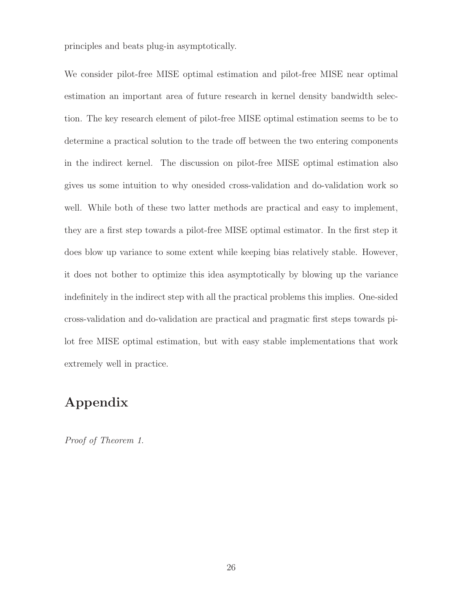principles and beats plug-in asymptotically.

We consider pilot-free MISE optimal estimation and pilot-free MISE near optimal estimation an important area of future research in kernel density bandwidth selection. The key research element of pilot-free MISE optimal estimation seems to be to determine a practical solution to the trade off between the two entering components in the indirect kernel. The discussion on pilot-free MISE optimal estimation also gives us some intuition to why onesided cross-validation and do-validation work so well. While both of these two latter methods are practical and easy to implement, they are a first step towards a pilot-free MISE optimal estimator. In the first step it does blow up variance to some extent while keeping bias relatively stable. However, it does not bother to optimize this idea asymptotically by blowing up the variance indefinitely in the indirect step with all the practical problems this implies. One-sided cross-validation and do-validation are practical and pragmatic first steps towards pilot free MISE optimal estimation, but with easy stable implementations that work extremely well in practice.

# **Appendix**

*Proof of Theorem 1*.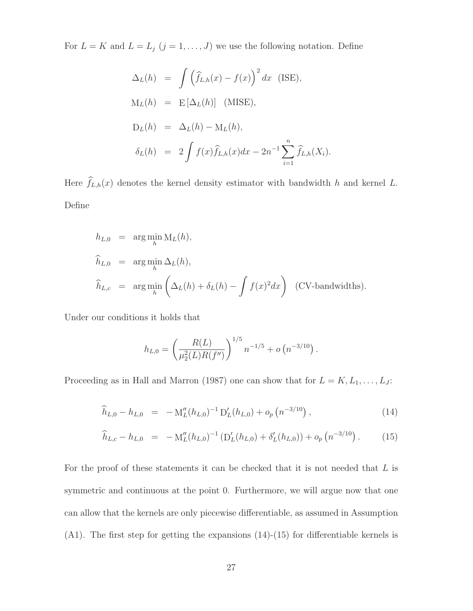For  $L = K$  and  $L = L_j$   $(j = 1, ..., J)$  we use the following notation. Define

$$
\Delta_L(h) = \int (\hat{f}_{L,h}(x) - f(x))^2 dx \text{ (ISE)},
$$
  
\n
$$
M_L(h) = E[\Delta_L(h)] \text{ (MISE)},
$$
  
\n
$$
D_L(h) = \Delta_L(h) - M_L(h),
$$
  
\n
$$
\delta_L(h) = 2 \int f(x) \hat{f}_{L,h}(x) dx - 2n^{-1} \sum_{i=1}^n \hat{f}_{L,h}(X_i).
$$

Here  $f_{L,h}(x)$  denotes the kernel density estimator with bandwidth h and kernel L. Define

$$
h_{L,0} = \arg\min_{h} M_L(h),
$$
  
\n
$$
\widehat{h}_{L,0} = \arg\min_{h} \Delta_L(h),
$$
  
\n
$$
\widehat{h}_{L,c} = \arg\min_{h} \left( \Delta_L(h) + \delta_L(h) - \int f(x)^2 dx \right) \text{ (CV-bandwidths)}.
$$

Under our conditions it holds that

$$
h_{L,0} = \left(\frac{R(L)}{\mu_2^2(L)R(f'')} \right)^{1/5} n^{-1/5} + o\left(n^{-3/10}\right).
$$

Proceeding as in Hall and Marron (1987) one can show that for  $L = K, L_1, \ldots, L_J$ :

$$
\widehat{h}_{L,0} - h_{L,0} = -\mathcal{M}_L''(h_{L,0})^{-1} \mathcal{D}_L'(h_{L,0}) + o_p\left(n^{-3/10}\right),\tag{14}
$$

$$
\widehat{h}_{L,c} - h_{L,0} = -\mathcal{M}_L''(h_{L,0})^{-1} \left( \mathcal{D}_L'(h_{L,0}) + \delta_L'(h_{L,0}) \right) + o_p\left( n^{-3/10} \right). \tag{15}
$$

For the proof of these statements it can be checked that it is not needed that  $L$  is symmetric and continuous at the point 0. Furthermore, we will argue now that one can allow that the kernels are only piecewise differentiable, as assumed in Assumption (A1). The first step for getting the expansions (14)-(15) for differentiable kernels is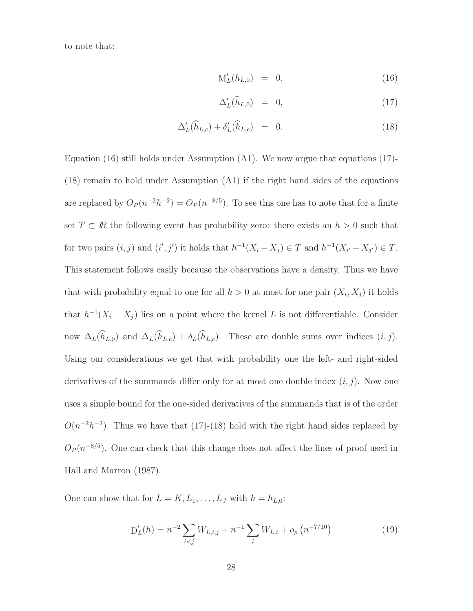to note that:

$$
M'_{L}(h_{L,0}) = 0, \t\t(16)
$$

$$
\Delta'_{L}(\widehat{h}_{L,0}) = 0, \qquad (17)
$$

$$
\Delta'_{L}(\widehat{h}_{L,c}) + \delta'_{L}(\widehat{h}_{L,c}) = 0.
$$
\n(18)

Equation (16) still holds under Assumption  $(A1)$ . We now argue that equations (17)-(18) remain to hold under Assumption (A1) if the right hand sides of the equations are replaced by  $O_P(n^{-2}h^{-2}) = O_P(n^{-8/5})$ . To see this one has to note that for a finite set  $T \subset \mathbb{R}$  the following event has probability zero: there exists an  $h > 0$  such that for two pairs  $(i, j)$  and  $(i', j')$  it holds that  $h^{-1}(X_i - X_j) \in T$  and  $h^{-1}(X_{i'} - X_{j'}) \in T$ . This statement follows easily because the observations have a density. Thus we have that with probability equal to one for all  $h > 0$  at most for one pair  $(X_i, X_j)$  it holds that  $h^{-1}(X_i - X_j)$  lies on a point where the kernel L is not differentiable. Consider now  $\Delta_L(h_{L,0})$  and  $\Delta_L(h_{L,c}) + \delta_L(h_{L,c})$ . These are double sums over indices  $(i, j)$ . Using our considerations we get that with probability one the left- and right-sided derivatives of the summands differ only for at most one double index  $(i, j)$ . Now one uses a simple bound for the one-sided derivatives of the summands that is of the order  $O(n^{-2}h^{-2})$ . Thus we have that (17)-(18) hold with the right hand sides replaced by  $O_P(n^{-8/5})$ . One can check that this change does not affect the lines of proof used in Hall and Marron (1987).

One can show that for  $L = K, L_1, \ldots, L_J$  with  $h = h_{L,0}$ :

$$
D'_{L}(h) = n^{-2} \sum_{i < j} W_{L,i,j} + n^{-1} \sum_{i} W_{L,i} + o_p \left( n^{-7/10} \right) \tag{19}
$$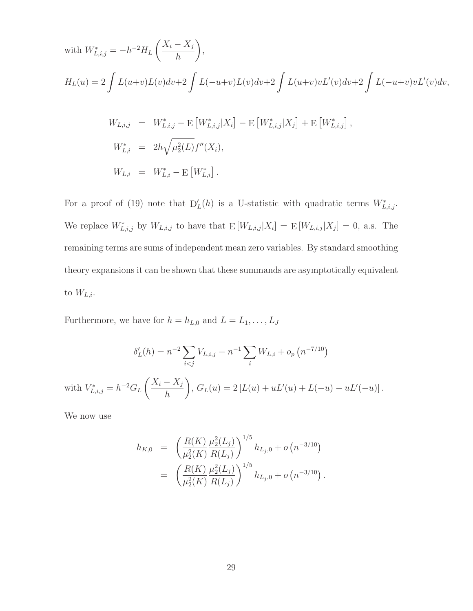with 
$$
W_{L,i,j}^{*} = -h^{-2}H_L\left(\frac{X_i - X_j}{h}\right)
$$
,  
\n
$$
H_L(u) = 2 \int L(u+v)L(v)dv + 2 \int L(-u+v)L(v)dv + 2 \int L(u+v)vL'(v)dv + 2 \int L(-u+v)vL'(v)dv,
$$
\n
$$
W_{L,i,j} = W_{L,i,j}^{*} - E[W_{L,i,j}^{*}|X_i] - E[W_{L,i,j}^{*}|X_j] + E[W_{L,i,j}^{*}],
$$
\n
$$
W_{L,i}^{*} = 2h\sqrt{\mu_2^2(L)}f''(X_i),
$$
\n
$$
W_{L,i} = W_{L,i}^{*} - E[W_{L,i}^{*}].
$$

For a proof of (19) note that  $D'_{L}(h)$  is a U-statistic with quadratic terms  $W^*_{L,i,j}$ . We replace  $W^*_{L,i,j}$  by  $W_{L,i,j}$  to have that  $E[W_{L,i,j}|X_i] = E[W_{L,i,j}|X_j] = 0$ , a.s. The remaining terms are sums of independent mean zero variables. By standard smoothing theory expansions it can be shown that these summands are asymptotically equivalent to  $W_{L,i}$ .

Furthermore, we have for  $h = h_{L,0}$  and  $L = L_1, \ldots, L_J$ 

$$
\delta'_{L}(h) = n^{-2} \sum_{i < j} V_{L,i,j} - n^{-1} \sum_{i} W_{L,i} + o_p \left( n^{-7/10} \right)
$$
\nwith  $V_{L,i,j}^* = h^{-2} G_L \left( \frac{X_i - X_j}{h} \right), G_L(u) = 2 \left[ L(u) + uL'(u) + L(-u) - uL'(-u) \right].$ 

We now use

$$
h_{K,0} = \left(\frac{R(K)}{\mu_2^2(K)} \frac{\mu_2^2(L_j)}{R(L_j)}\right)^{1/5} h_{L_j,0} + o\left(n^{-3/10}\right)
$$
  
= 
$$
\left(\frac{R(K)}{\mu_2^2(K)} \frac{\mu_2^2(L_j)}{R(L_j)}\right)^{1/5} h_{L_j,0} + o\left(n^{-3/10}\right).
$$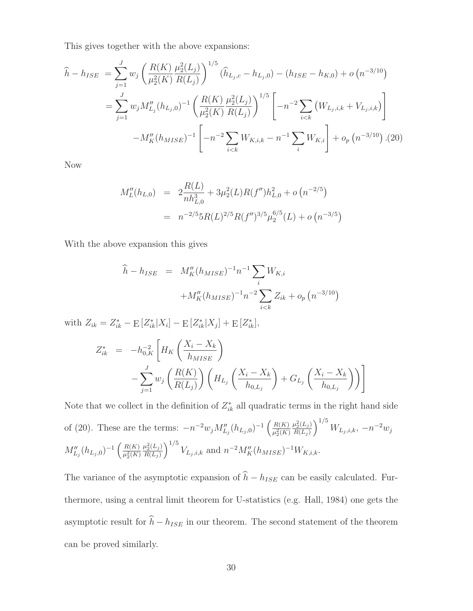This gives together with the above expansions:

$$
\hat{h} - h_{ISE} = \sum_{j=1}^{J} w_j \left( \frac{R(K)}{\mu_2^2(K)} \frac{\mu_2^2(L_j)}{R(L_j)} \right)^{1/5} (\hat{h}_{L_j,c} - h_{L_j,0}) - (h_{ISE} - h_{K,0}) + o(n^{-3/10})
$$
\n
$$
= \sum_{j=1}^{J} w_j M_{L_j}''(h_{L_j,0})^{-1} \left( \frac{R(K)}{\mu_2^2(K)} \frac{\mu_2^2(L_j)}{R(L_j)} \right)^{1/5} \left[ -n^{-2} \sum_{i < k} \left( W_{L_j,i,k} + V_{L_j,i,k} \right) \right]
$$
\n
$$
-M_K''(h_{MISE})^{-1} \left[ -n^{-2} \sum_{i < k} W_{K,i,k} - n^{-1} \sum_{i} W_{K,i} \right] + o_p(n^{-3/10}) \tag{20}
$$

Now

$$
M_L''(h_{L,0}) = 2\frac{R(L)}{nh_{L,0}^3} + 3\mu_2^2(L)R(f'')h_{L,0}^2 + o(n^{-2/5})
$$
  
=  $n^{-2/5}5R(L)^{2/5}R(f'')^{3/5}\mu_2^{6/5}(L) + o(n^{-3/5})$ 

With the above expansion this gives

$$
\hat{h} - h_{ISE} = M''_K (h_{MISE})^{-1} n^{-1} \sum_i W_{K,i}
$$

$$
+ M''_K (h_{MISE})^{-1} n^{-2} \sum_{i < k} Z_{ik} + o_p \left( n^{-3/10} \right)
$$

with  $Z_{ik} = Z_{ik}^* - E[Z_{ik}^* | X_i] - E[Z_{ik}^* | X_j] + E[Z_{ik}^*],$ 

$$
Z_{ik}^{*} = -h_{0,K}^{-2} \left[ H_{K} \left( \frac{X_{i} - X_{k}}{h_{MISE}} \right) - \sum_{j=1}^{J} w_{j} \left( \frac{R(K)}{R(L_{j})} \right) \left( H_{L_{j}} \left( \frac{X_{i} - X_{k}}{h_{0,L_{j}}} \right) + G_{L_{j}} \left( \frac{X_{i} - X_{k}}{h_{0,L_{j}}} \right) \right) \right]
$$

Note that we collect in the definition of  $Z_{ik}^*$  all quadratic terms in the right hand side of (20). These are the terms:  $-n^{-2}w_j M''_{L_j}(h_{L_j,0})^{-1} \left(\frac{R(K)}{\mu_0^2(K)}\right)$  $\overline{\mu_2^2(K)}$  $\mu_2^2(L_j)$  $R(L_j)$  $\int^{1/5} W_{L_j,i,k}, -n^{-2}w_j$  $M''_{L_j}(h_{L_j,0})^{-1}\left(\frac{R(K)}{\mu_3^2(K)}\right)$  $\overline{\mu_2^2(K)}$  $\mu_2^2(L_j)$  $R(L_j)$  $\int_{1/5}^{1/5} V_{L_j,i,k}$  and  $n^{-2} M_K''(h_{MISE})^{-1} W_{K,i,k}$ .

The variance of the asymptotic expansion of  $h - h_{ISE}$  can be easily calculated. Furthermore, using a central limit theorem for U-statistics (e.g. Hall, 1984) one gets the asymptotic result for  $h - h_{ISE}$  in our theorem. The second statement of the theorem can be proved similarly.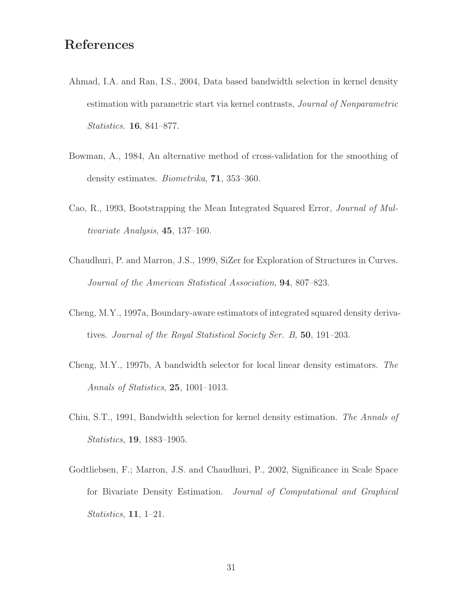## **References**

- Ahmad, I.A. and Ran, I.S., 2004, Data based bandwidth selection in kernel density estimation with parametric start via kernel contrasts, *Journal of Nonparametric Statistics*. **16**, 841–877.
- Bowman, A., 1984, An alternative method of cross-validation for the smoothing of density estimates. *Biometrika*, **71**, 353–360.
- Cao, R., 1993, Bootstrapping the Mean Integrated Squared Error, *Journal of Multivariate Analysis*, **45**, 137–160.
- Chaudhuri, P. and Marron, J.S., 1999, SiZer for Exploration of Structures in Curves. *Journal of the American Statistical Association*, **94**, 807–823.
- Cheng, M.Y., 1997a, Boundary-aware estimators of integrated squared density derivatives. *Journal of the Royal Statistical Society Ser. B*, **50**, 191–203.
- Cheng, M.Y., 1997b, A bandwidth selector for local linear density estimators. *The Annals of Statistics*, **25**, 1001–1013.
- Chiu, S.T., 1991, Bandwidth selection for kernel density estimation. *The Annals of Statistics*, **19**, 1883–1905.
- Godtliebsen, F.; Marron, J.S. and Chaudhuri, P., 2002, Significance in Scale Space for Bivariate Density Estimation. *Journal of Computational and Graphical Statistics*, **11**, 1–21.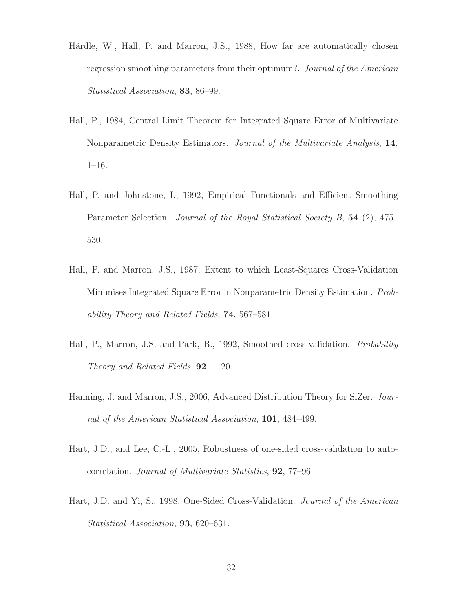- Härdle, W., Hall, P. and Marron, J.S., 1988, How far are automatically chosen regression smoothing parameters from their optimum?. *Journal of the American Statistical Association*, **83**, 86–99.
- Hall, P., 1984, Central Limit Theorem for Integrated Square Error of Multivariate Nonparametric Density Estimators. *Journal of the Multivariate Analysis*, **14**, 1–16.
- Hall, P. and Johnstone, I., 1992, Empirical Functionals and Efficient Smoothing Parameter Selection. *Journal of the Royal Statistical Society B*, **54** (2), 475– 530.
- Hall, P. and Marron, J.S., 1987, Extent to which Least-Squares Cross-Validation Minimises Integrated Square Error in Nonparametric Density Estimation. *Probability Theory and Related Fields*, **74**, 567–581.
- Hall, P., Marron, J.S. and Park, B., 1992, Smoothed cross-validation. *Probability Theory and Related Fields*, **92**, 1–20.
- Hanning, J. and Marron, J.S., 2006, Advanced Distribution Theory for SiZer. *Journal of the American Statistical Association*, **101**, 484–499.
- Hart, J.D., and Lee, C.-L., 2005, Robustness of one-sided cross-validation to autocorrelation. *Journal of Multivariate Statistics*, **92**, 77–96.
- Hart, J.D. and Yi, S., 1998, One-Sided Cross-Validation. *Journal of the American Statistical Association*, **93**, 620–631.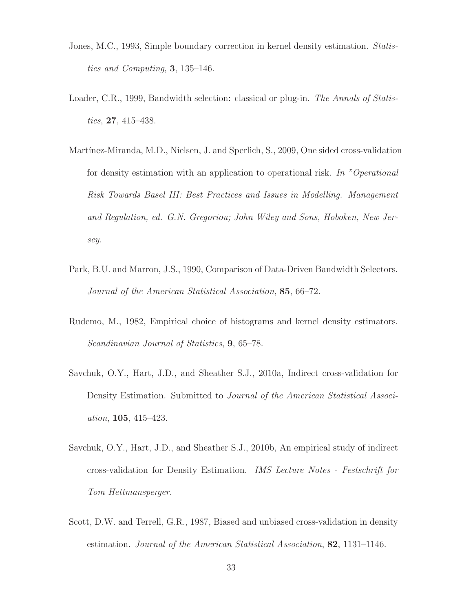- Jones, M.C., 1993, Simple boundary correction in kernel density estimation. *Statistics and Computing*, **3**, 135–146.
- Loader, C.R., 1999, Bandwidth selection: classical or plug-in. *The Annals of Statistics*, **27**, 415–438.
- Martínez-Miranda, M.D., Nielsen, J. and Sperlich, S., 2009, One sided cross-validation for density estimation with an application to operational risk. *In "Operational Risk Towards Basel III: Best Practices and Issues in Modelling. Management and Regulation, ed. G.N. Gregoriou; John Wiley and Sons, Hoboken, New Jersey.*
- Park, B.U. and Marron, J.S., 1990, Comparison of Data-Driven Bandwidth Selectors. *Journal of the American Statistical Association*, **85**, 66–72.
- Rudemo, M., 1982, Empirical choice of histograms and kernel density estimators. *Scandinavian Journal of Statistics*, **9**, 65–78.
- Savchuk, O.Y., Hart, J.D., and Sheather S.J., 2010a, Indirect cross-validation for Density Estimation. Submitted to *Journal of the American Statistical Association*, **105**, 415–423.
- Savchuk, O.Y., Hart, J.D., and Sheather S.J., 2010b, An empirical study of indirect cross-validation for Density Estimation. *IMS Lecture Notes - Festschrift for Tom Hettmansperger.*
- Scott, D.W. and Terrell, G.R., 1987, Biased and unbiased cross-validation in density estimation. *Journal of the American Statistical Association*, **82**, 1131–1146.